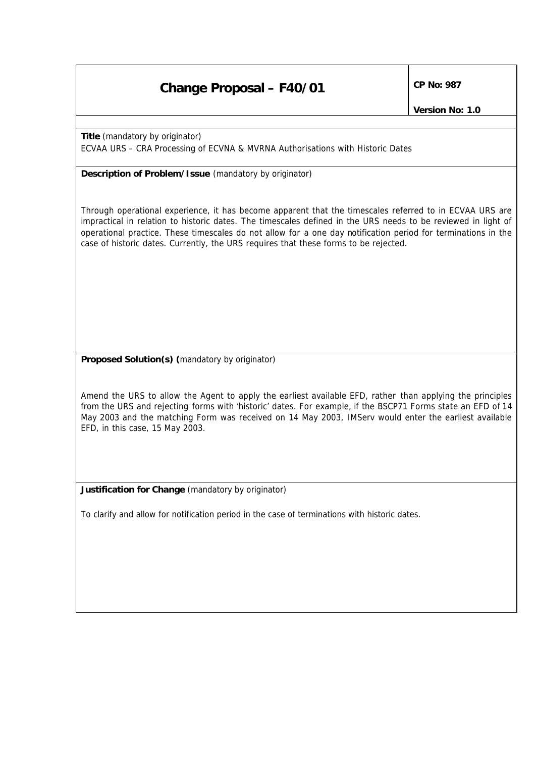## **Change Proposal – F40/01**  $\left|\begin{array}{cc} CP & No: 987 \end{array}\right|$

**Title** *(mandatory by originator)*  ECVAA URS – CRA Processing of ECVNA & MVRNA Authorisations with Historic Dates

**Description of Problem/Issue** *(mandatory by originator)*

Through operational experience, it has become apparent that the timescales referred to in ECVAA URS are impractical in relation to historic dates. The timescales defined in the URS needs to be reviewed in light of operational practice. These timescales do not allow for a one day notification period for terminations in the case of historic dates. Currently, the URS requires that these forms to be rejected.

**Proposed Solution(s)** *(mandatory by originator)*

Amend the URS to allow the Agent to apply the earliest available EFD, rather than applying the principles from the URS and rejecting forms with 'historic' dates. For example, if the BSCP71 Forms state an EFD of 14 May 2003 and the matching Form was received on 14 May 2003, IMServ would enter the earliest available EFD, in this case, 15 May 2003.

**Justification for Change** *(mandatory by originator)*

*To clarify and allow for notification period in the case of terminations with historic dates.*